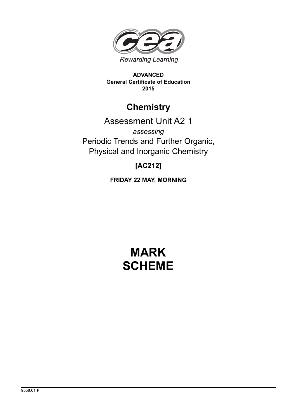

**ADVANCED General Certificate of Education 2015**

## **Chemistry**

## Assessment Unit A2 1

*assessing* Periodic Trends and Further Organic, Physical and Inorganic Chemistry

### **[AC212]**

**FRIDAY 22 MAY, MORNING**

# **MARK SCHEME**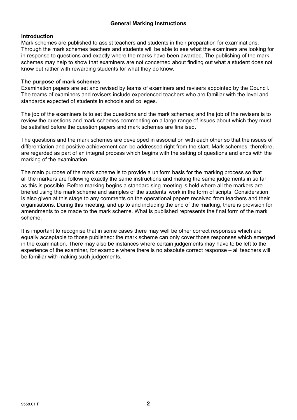#### **General Marking Instructions**

#### **Introduction**

Mark schemes are published to assist teachers and students in their preparation for examinations. Through the mark schemes teachers and students will be able to see what the examiners are looking for in response to questions and exactly where the marks have been awarded. The publishing of the mark schemes may help to show that examiners are not concerned about finding out what a student does not know but rather with rewarding students for what they do know.

#### **The purpose of mark schemes**

Examination papers are set and revised by teams of examiners and revisers appointed by the Council. The teams of examiners and revisers include experienced teachers who are familiar with the level and standards expected of students in schools and colleges.

The job of the examiners is to set the questions and the mark schemes; and the job of the revisers is to review the questions and mark schemes commenting on a large range of issues about which they must be satisfied before the question papers and mark schemes are finalised.

The questions and the mark schemes are developed in association with each other so that the issues of differentiation and positive achievement can be addressed right from the start. Mark schemes, therefore, are regarded as part of an integral process which begins with the setting of questions and ends with the marking of the examination.

The main purpose of the mark scheme is to provide a uniform basis for the marking process so that all the markers are following exactly the same instructions and making the same judgements in so far as this is possible. Before marking begins a standardising meeting is held where all the markers are briefed using the mark scheme and samples of the students' work in the form of scripts. Consideration is also given at this stage to any comments on the operational papers received from teachers and their organisations. During this meeting, and up to and including the end of the marking, there is provision for amendments to be made to the mark scheme. What is published represents the final form of the mark scheme.

It is important to recognise that in some cases there may well be other correct responses which are equally acceptable to those published: the mark scheme can only cover those responses which emerged in the examination. There may also be instances where certain judgements may have to be left to the experience of the examiner, for example where there is no absolute correct response – all teachers will be familiar with making such judgements.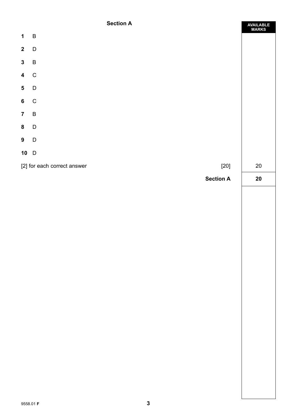#### **Section A**

|                         | <b>SECTION H</b>                      | AVAILABLE<br>MARKS |
|-------------------------|---------------------------------------|--------------------|
| $\mathbf 1$             | $\, {\bf B}$                          |                    |
| $\mathbf{2}$            | $\mathsf D$                           |                    |
| $\mathbf{3}$            | $\sf B$                               |                    |
| $\overline{\mathbf{4}}$ | $\overline{C}$                        |                    |
| $5\overline{)}$         | $\mathsf D$                           |                    |
| $6\overline{6}$         | $\mathbf C$                           |                    |
| $\overline{7}$          | $\, {\sf B}$                          |                    |
| ${\bf 8}$               | $\mathsf D$                           |                    |
| 9                       | $\overline{D}$                        |                    |
| $10$ D                  |                                       |                    |
|                         | [2] for each correct answer<br>$[20]$ | $20\,$             |
|                         | <b>Section A</b>                      | $20\,$             |
|                         |                                       |                    |
|                         |                                       |                    |
|                         |                                       |                    |
|                         |                                       |                    |
|                         |                                       |                    |
|                         |                                       |                    |
|                         |                                       |                    |
|                         |                                       |                    |
|                         |                                       |                    |
|                         |                                       |                    |
|                         |                                       |                    |
|                         |                                       |                    |
|                         |                                       |                    |
|                         |                                       |                    |
|                         |                                       |                    |
|                         |                                       |                    |
|                         |                                       |                    |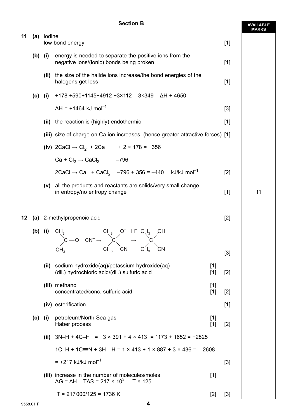#### **Section B**

**AVAILABLE**

|    |           |            |                                                                                                                                                                                |       | <b>MARKS</b> |
|----|-----------|------------|--------------------------------------------------------------------------------------------------------------------------------------------------------------------------------|-------|--------------|
| 11 |           | (a) iodine | low bond energy                                                                                                                                                                | $[1]$ |              |
|    | $(b)$ (i) |            | energy is needed to separate the positive ions from the<br>negative ions/(ionic) bonds being broken                                                                            | $[1]$ |              |
|    |           |            | (ii) the size of the halide ions increase/the bond energies of the<br>halogens get less                                                                                        | $[1]$ |              |
|    | $(c)$ (i) |            | $+178 +590 + 1145 + 4912 + 3 \times 112 - 3 \times 349 = \Delta H + 4650$                                                                                                      |       |              |
|    |           |            | $\Delta H = +1464$ kJ mol <sup>-1</sup>                                                                                                                                        | $[3]$ |              |
|    |           |            | (ii) the reaction is (highly) endothermic                                                                                                                                      | $[1]$ |              |
|    |           |            | (iii) size of charge on Ca ion increases, (hence greater attractive forces) [1]                                                                                                |       |              |
|    |           |            | (iv) $2CaCl \rightarrow Cl_2 + 2Ca$ + 2 × 178 = +356                                                                                                                           |       |              |
|    |           |            | $Ca + Cl2 \rightarrow CaCl2$ -796                                                                                                                                              |       |              |
|    |           |            | $2CaCl \rightarrow Ca + CaCl_2$ -796 + 356 = -440 kJ/kJ mol <sup>-1</sup>                                                                                                      | $[2]$ |              |
|    |           | (v)        | all the products and reactants are solids/very small change<br>in entropy/no entropy change                                                                                    | $[1]$ | 11           |
| 12 |           |            | (a) 2-methylpropenoic acid                                                                                                                                                     | $[2]$ |              |
|    |           | (b) (i)    | $CH_3$<br>CH <sub>3</sub> CH <sub>3</sub> CH <sub>3</sub> C <sub>H</sub> <sup>4</sup> CH <sub>3</sub> CH <sub>3</sub><br>CH <sub>3</sub> CH <sub>3</sub> CN CH <sub>3</sub> CN |       |              |
|    |           |            |                                                                                                                                                                                | $[3]$ |              |
|    |           | (ii)       | sodium hydroxide(aq)/potassium hydroxide(aq)<br>$[1]$<br>(dil.) hydrochloric acid/(dil.) sulfuric acid<br>$[1]$                                                                | $[2]$ |              |
|    |           |            | (iii) methanol<br>$[1]$<br>concentrated/conc. sulfuric acid<br>$[1]$                                                                                                           | $[2]$ |              |
|    |           |            | (iv) esterification                                                                                                                                                            | $[1]$ |              |
|    | (c)       | (i)        | petroleum/North Sea gas<br>$[1]$<br>Haber process<br>$[1]$                                                                                                                     | $[2]$ |              |
|    |           | (ii)       | $3N-H + 4C-H = 3 \times 391 + 4 \times 413 = 1173 + 1652 = +2825$                                                                                                              |       |              |
|    |           |            | $1C-H + 1C \equiv N + 3H - H = 1 \times 413 + 1 \times 887 + 3 \times 436 = -2608$                                                                                             |       |              |
|    |           |            | $= +217$ kJ/kJ mol <sup>-1</sup>                                                                                                                                               | $[3]$ |              |
|    |           |            | (iii) increase in the number of molecules/moles<br>$[1]$<br>$\Delta G$ = $\Delta H$ – T $\Delta S$ = 217 × 10 <sup>3</sup> – T × 125                                           |       |              |
|    |           |            | $T = 217000/125 = 1736 K$<br>$[2]$                                                                                                                                             | $[3]$ |              |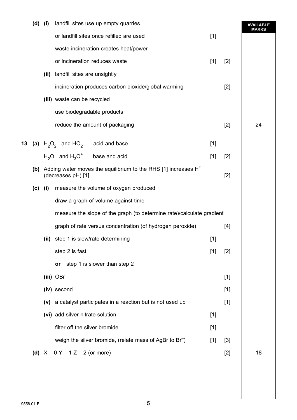|    | $(d)$ (i) |      | landfill sites use up empty quarries                                  |       |       | <b>AVAILABLE</b><br><b>MARKS</b> |
|----|-----------|------|-----------------------------------------------------------------------|-------|-------|----------------------------------|
|    |           |      | or landfill sites once refilled are used                              | $[1]$ |       |                                  |
|    |           |      | waste incineration creates heat/power                                 |       |       |                                  |
|    |           |      | or incineration reduces waste                                         | $[1]$ | $[2]$ |                                  |
|    |           | (ii) | landfill sites are unsightly                                          |       |       |                                  |
|    |           |      | incineration produces carbon dioxide/global warming                   |       | $[2]$ |                                  |
|    |           |      | (iii) waste can be recycled                                           |       |       |                                  |
|    |           |      | use biodegradable products                                            |       |       |                                  |
|    |           |      | reduce the amount of packaging                                        |       | $[2]$ | 24                               |
| 13 |           |      | (a) $H_2O_2$ and $HO_2$ <sup>-</sup> acid and base                    | $[1]$ |       |                                  |
|    |           |      | $H_2O$ and $H_3O^+$ base and acid                                     | $[1]$ | $[2]$ |                                  |
|    |           |      | (b) Adding water moves the equilibrium to the RHS [1] increases $H^+$ |       |       |                                  |
|    |           |      | (decreases pH) [1]                                                    |       | $[2]$ |                                  |
|    | $(c)$ (i) |      | measure the volume of oxygen produced                                 |       |       |                                  |
|    |           |      | draw a graph of volume against time                                   |       |       |                                  |
|    |           |      | measure the slope of the graph (to determine rate)/calculate gradient |       |       |                                  |
|    |           |      | graph of rate versus concentration (of hydrogen peroxide)             |       | $[4]$ |                                  |
|    |           | (ii) | step 1 is slow/rate determining                                       | $[1]$ |       |                                  |
|    |           |      | step 2 is fast                                                        | $[1]$ | $[2]$ |                                  |
|    |           |      | or step 1 is slower than step 2                                       |       |       |                                  |
|    |           |      | (iii) $OBr^-$                                                         |       | $[1]$ |                                  |
|    |           |      | (iv) second                                                           |       | $[1]$ |                                  |
|    |           |      | (v) a catalyst participates in a reaction but is not used up          |       | $[1]$ |                                  |
|    |           |      | (vi) add silver nitrate solution                                      | $[1]$ |       |                                  |
|    |           |      | filter off the silver bromide                                         | $[1]$ |       |                                  |
|    |           |      | weigh the silver bromide, (relate mass of AgBr to Br <sup>-</sup> )   | $[1]$ | $[3]$ |                                  |
|    |           |      | (d) $X = 0$ Y = 1 Z = 2 (or more)                                     |       | $[2]$ | 18                               |
|    |           |      |                                                                       |       |       |                                  |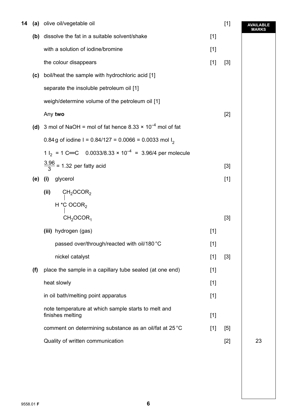| 14 |     | (a) olive oil/vegetable oil                                                   |       | $[1]$ | <b>AVAILABLE</b><br><b>MARKS</b> |
|----|-----|-------------------------------------------------------------------------------|-------|-------|----------------------------------|
|    | (b) | dissolve the fat in a suitable solvent/shake                                  | $[1]$ |       |                                  |
|    |     | with a solution of iodine/bromine                                             | $[1]$ |       |                                  |
|    |     | the colour disappears                                                         | $[1]$ | $[3]$ |                                  |
|    | (c) | boil/heat the sample with hydrochloric acid [1]                               |       |       |                                  |
|    |     | separate the insoluble petroleum oil [1]                                      |       |       |                                  |
|    |     | weigh/determine volume of the petroleum oil [1]                               |       |       |                                  |
|    |     | Any two                                                                       |       | $[2]$ |                                  |
|    |     | (d) 3 mol of NaOH = mol of fat hence $8.33 \times 10^{-4}$ mol of fat         |       |       |                                  |
|    |     | 0.84 g of iodine I = 0.84/127 = 0.0066 = 0.0033 mol I <sub>2</sub>            |       |       |                                  |
|    |     | 1 l <sub>2</sub> = 1 C=C 0.0033/8.33 × 10 <sup>-4</sup> = 3.96/4 per molecule |       |       |                                  |
|    |     | $\frac{3.96}{3}$ = 1.32 per fatty acid                                        |       | $[3]$ |                                  |
|    | (e) | glycerol<br>(i)                                                               |       | $[1]$ |                                  |
|    |     | (ii)<br>CH <sub>2</sub> OCOR <sub>2</sub>                                     |       |       |                                  |
|    |     | H $*$ C OCOR <sub>2</sub>                                                     |       |       |                                  |
|    |     | CH <sub>2</sub> OCOR <sub>1</sub>                                             |       | $[3]$ |                                  |
|    |     | (iii) hydrogen (gas)                                                          | $[1]$ |       |                                  |
|    |     | passed over/through/reacted with oil/180 °C                                   | $[1]$ |       |                                  |
|    |     | nickel catalyst                                                               | $[1]$ | $[3]$ |                                  |
|    | (f) | place the sample in a capillary tube sealed (at one end)                      | $[1]$ |       |                                  |
|    |     | heat slowly                                                                   | $[1]$ |       |                                  |
|    |     | in oil bath/melting point apparatus                                           | $[1]$ |       |                                  |
|    |     | note temperature at which sample starts to melt and<br>finishes melting       | $[1]$ |       |                                  |
|    |     | comment on determining substance as an oil/fat at 25 °C                       | $[1]$ | $[5]$ |                                  |
|    |     | Quality of written communication                                              |       | $[2]$ | 23                               |
|    |     |                                                                               |       |       |                                  |